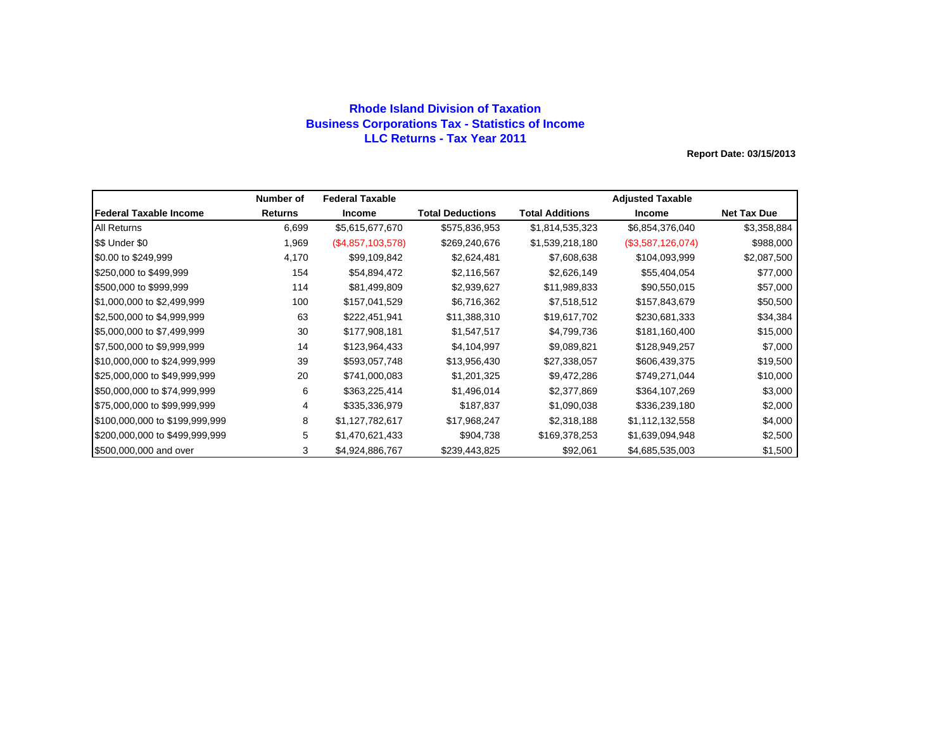## **Rhode Island Division of Taxation Business Corporations Tax - Statistics of Income LLC Returns - Tax Year 2011**

|                                | Number of | <b>Federal Taxable</b> |                         |                 | <b>Adjusted Taxable</b> |                    |
|--------------------------------|-----------|------------------------|-------------------------|-----------------|-------------------------|--------------------|
| lFederal Taxable Income        | Returns   | Income                 | <b>Total Deductions</b> | Total Additions | <b>Income</b>           | <b>Net Tax Due</b> |
| <b>All Returns</b>             | 6,699     | \$5,615,677,670        | \$575,836,953           | \$1,814,535,323 | \$6,854,376,040         | \$3,358,884        |
| \$\$ Under \$0                 | 1,969     | $(\$4,857,103,578)$    | \$269,240,676           | \$1,539,218,180 | (\$3,587,126,074)       | \$988,000          |
| \$0.00 to \$249,999            | 4,170     | \$99,109,842           | \$2,624,481             | \$7,608,638     | \$104,093,999           | \$2,087,500        |
| \$250,000 to \$499,999         | 154       | \$54,894,472           | \$2,116,567             | \$2,626,149     | \$55,404,054            | \$77,000           |
| \$500,000 to \$999,999         | 114       | \$81,499,809           | \$2,939,627             | \$11,989,833    | \$90,550,015            | \$57,000           |
| \$1,000,000 to \$2,499,999     | 100       | \$157,041,529          | \$6,716,362             | \$7,518,512     | \$157,843,679           | \$50,500           |
| \$2,500,000 to \$4,999,999     | 63        | \$222,451,941          | \$11,388,310            | \$19,617,702    | \$230,681,333           | \$34,384           |
| \$5,000,000 to \$7,499,999     | 30        | \$177,908,181          | \$1,547,517             | \$4,799,736     | \$181,160,400           | \$15,000           |
| \$7,500,000 to \$9,999,999     | 14        | \$123,964,433          | \$4,104,997             | \$9,089,821     | \$128,949,257           | \$7,000            |
| \$10,000,000 to \$24,999,999   | 39        | \$593,057,748          | \$13,956,430            | \$27,338,057    | \$606,439,375           | \$19,500           |
| \$25,000,000 to \$49,999,999   | 20        | \$741,000,083          | \$1,201,325             | \$9,472,286     | \$749,271,044           | \$10,000           |
| \$50,000,000 to \$74,999,999   | 6         | \$363,225,414          | \$1,496,014             | \$2,377,869     | \$364,107,269           | \$3,000            |
| \$75,000,000 to \$99,999,999   | 4         | \$335,336,979          | \$187,837               | \$1,090,038     | \$336,239,180           | \$2,000            |
| \$100,000,000 to \$199,999,999 | 8         | \$1,127,782,617        | \$17,968,247            | \$2,318,188     | \$1,112,132,558         | \$4,000            |
| \$200,000,000 to \$499,999,999 | 5         | \$1,470,621,433        | \$904,738               | \$169,378,253   | \$1,639,094,948         | \$2,500            |
| \$500,000,000 and over         | 3         | \$4,924,886,767        | \$239,443,825           | \$92,061        | \$4,685,535,003         | \$1,500            |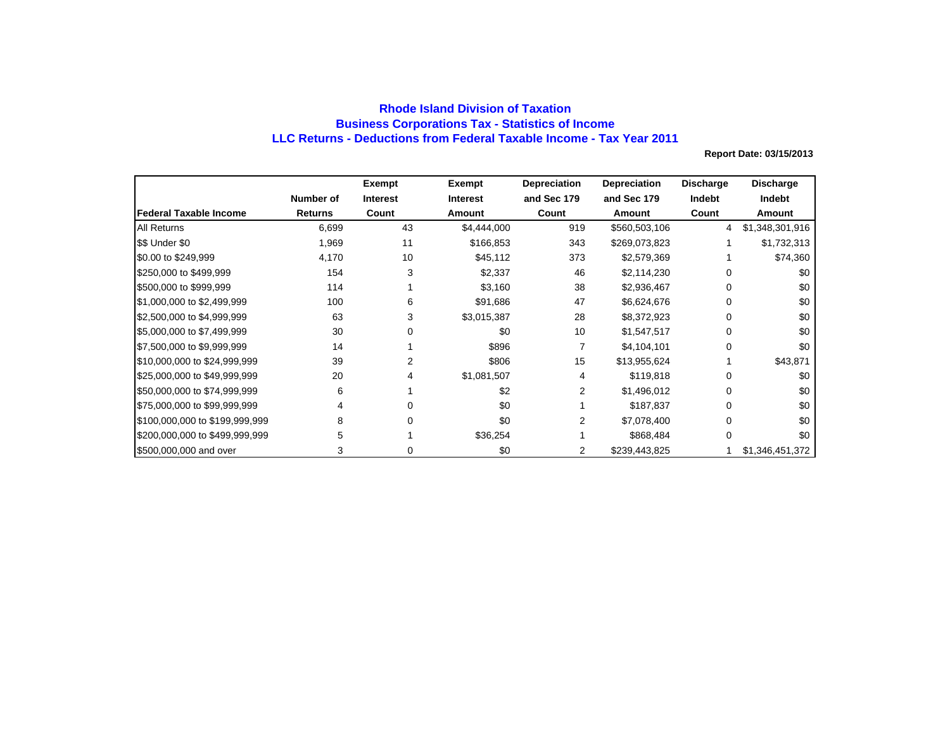## **Rhode Island Division of Taxation Business Corporations Tax - Statistics of Income LLC Returns - Deductions from Federal Taxable Income - Tax Year 2011**

|                                |                | Exempt          | Exempt          | <b>Depreciation</b> | <b>Depreciation</b> | <b>Discharge</b> | <b>Discharge</b> |
|--------------------------------|----------------|-----------------|-----------------|---------------------|---------------------|------------------|------------------|
|                                | Number of      | <b>Interest</b> | <b>Interest</b> | and Sec 179         | and Sec 179         | Indebt           | Indebt           |
| lFederal Taxable Income        | <b>Returns</b> | Count           | Amount          | Count               | Amount              | Count            | Amount           |
| <b>All Returns</b>             | 6,699          | 43              | \$4,444,000     | 919                 | \$560,503,106       | 4                | \$1,348,301,916  |
| \$\$ Under \$0                 | 1,969          | 11              | \$166,853       | 343                 | \$269,073,823       |                  | \$1,732,313      |
| \$0.00 to \$249,999            | 4,170          | 10              | \$45,112        | 373                 | \$2,579,369         |                  | \$74,360         |
| \$250,000 to \$499,999         | 154            | 3               | \$2,337         | 46                  | \$2,114,230         | 0                | \$0              |
| \$500,000 to \$999,999         | 114            |                 | \$3,160         | 38                  | \$2,936,467         | 0                | \$0              |
| \$1,000,000 to \$2,499,999     | 100            | 6               | \$91,686        | 47                  | \$6,624,676         | 0                | \$0              |
| \$2,500,000 to \$4,999,999     | 63             | 3               | \$3,015,387     | 28                  | \$8,372,923         | 0                | \$0              |
| \$5,000,000 to \$7,499,999     | 30             |                 | \$0             | 10                  | \$1,547,517         | 0                | \$0              |
| \$7,500,000 to \$9,999,999     | 14             |                 | \$896           |                     | \$4,104,101         | 0                | \$0              |
| \$10,000,000 to \$24,999,999   | 39             |                 | \$806           | 15                  | \$13,955,624        |                  | \$43,871         |
| \$25,000,000 to \$49,999,999   | 20             |                 | \$1,081,507     |                     | \$119,818           |                  | \$0              |
| \$50,000,000 to \$74,999,999   | 6              |                 | \$2             | 2                   | \$1,496,012         |                  | \$0              |
| \$75,000,000 to \$99,999,999   | 4              |                 | \$0             |                     | \$187,837           | 0                | \$0              |
| \$100,000,000 to \$199,999,999 | 8              |                 | \$0             | 2                   | \$7,078,400         | 0                | \$0              |
| \$200,000,000 to \$499,999,999 | 5              |                 | \$36,254        |                     | \$868,484           | 0                | \$0              |
| \$500,000,000 and over         |                |                 | \$0             | 2                   | \$239,443,825       |                  | \$1,346,451,372  |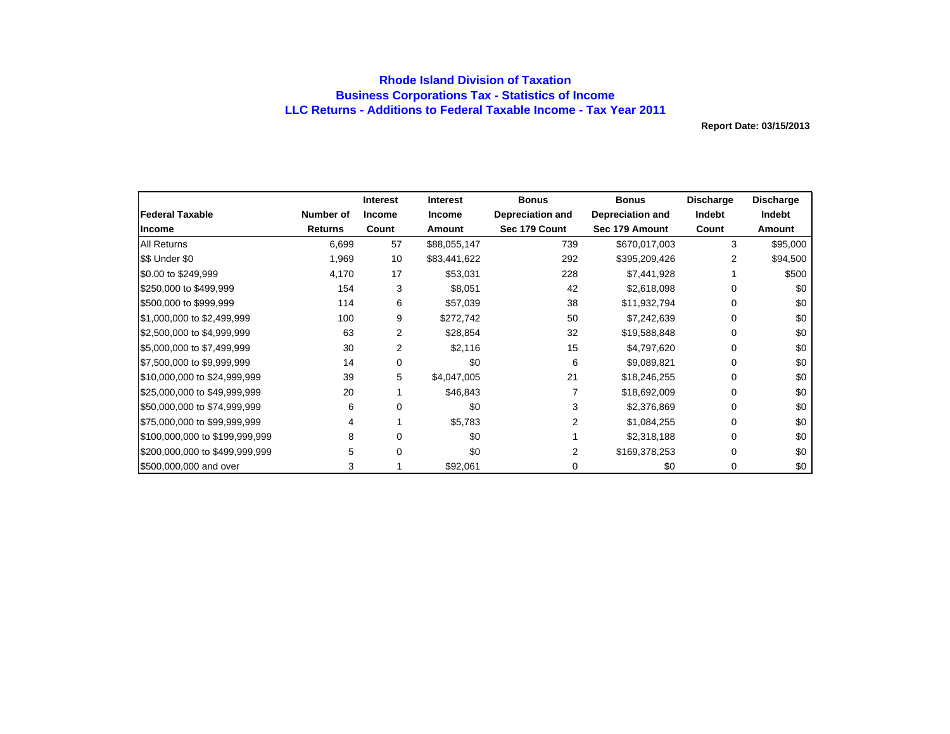## **Rhode Island Division of Taxation Business Corporations Tax - Statistics of Income LLC Returns - Additions to Federal Taxable Income - Tax Year 2011**

|                                |                | <b>Interest</b> | Interest      | <b>Bonus</b>            | <b>Bonus</b>            | <b>Discharge</b> | <b>Discharge</b> |
|--------------------------------|----------------|-----------------|---------------|-------------------------|-------------------------|------------------|------------------|
| <b>Federal Taxable</b>         | Number of      | <b>Income</b>   | <b>Income</b> | <b>Depreciation and</b> | <b>Depreciation and</b> | Indebt           | Indebt           |
| Income                         | <b>Returns</b> | Count           | Amount        | Sec 179 Count           | Sec 179 Amount          | Count            | Amount           |
| <b>All Returns</b>             | 6,699          | 57              | \$88,055,147  | 739                     | \$670,017,003           | 3                | \$95,000         |
| \$\$ Under \$0                 | 1,969          | 10              | \$83,441,622  | 292                     | \$395,209,426           | 2                | \$94,500         |
| \$0.00 to \$249,999            | 4,170          | 17              | \$53,031      | 228                     | \$7,441,928             |                  | \$500            |
| \$250,000 to \$499,999         | 154            | 3               | \$8,051       | 42                      | \$2,618,098             | 0                | \$0              |
| \$500,000 to \$999,999         | 114            | 6               | \$57,039      | 38                      | \$11,932,794            | 0                | \$0              |
| \$1,000,000 to \$2,499,999     | 100            | 9               | \$272,742     | 50                      | \$7,242,639             | 0                | \$0              |
| \$2,500,000 to \$4,999,999     | 63             | 2               | \$28,854      | 32                      | \$19,588,848            | 0                | \$0              |
| \$5,000,000 to \$7,499,999     | 30             | 2               | \$2,116       | 15                      | \$4,797,620             | 0                | \$0              |
| \$7,500,000 to \$9,999,999     | 14             | 0               | \$0           | 6                       | \$9,089,821             | 0                | \$0              |
| \$10,000,000 to \$24,999,999   | 39             | 5               | \$4,047,005   | 21                      | \$18,246,255            | 0                | \$0              |
| \$25,000,000 to \$49,999,999   | 20             |                 | \$46,843      |                         | \$18,692,009            | 0                | \$0              |
| \$50,000,000 to \$74,999,999   | 6              | 0               | \$0           | 3                       | \$2,376,869             | 0                | \$0              |
| \$75,000,000 to \$99,999,999   | 4              |                 | \$5,783       |                         | \$1,084,255             | 0                | \$0              |
| \$100,000,000 to \$199,999,999 | 8              | 0               | \$0           |                         | \$2,318,188             | 0                | \$0              |
| \$200,000,000 to \$499,999,999 | 5.             | 0               | \$0           | 2                       | \$169,378,253           | 0                | \$0              |
| \$500,000,000 and over         | 3              |                 | \$92,061      | 0                       | \$0                     | 0                | \$0              |